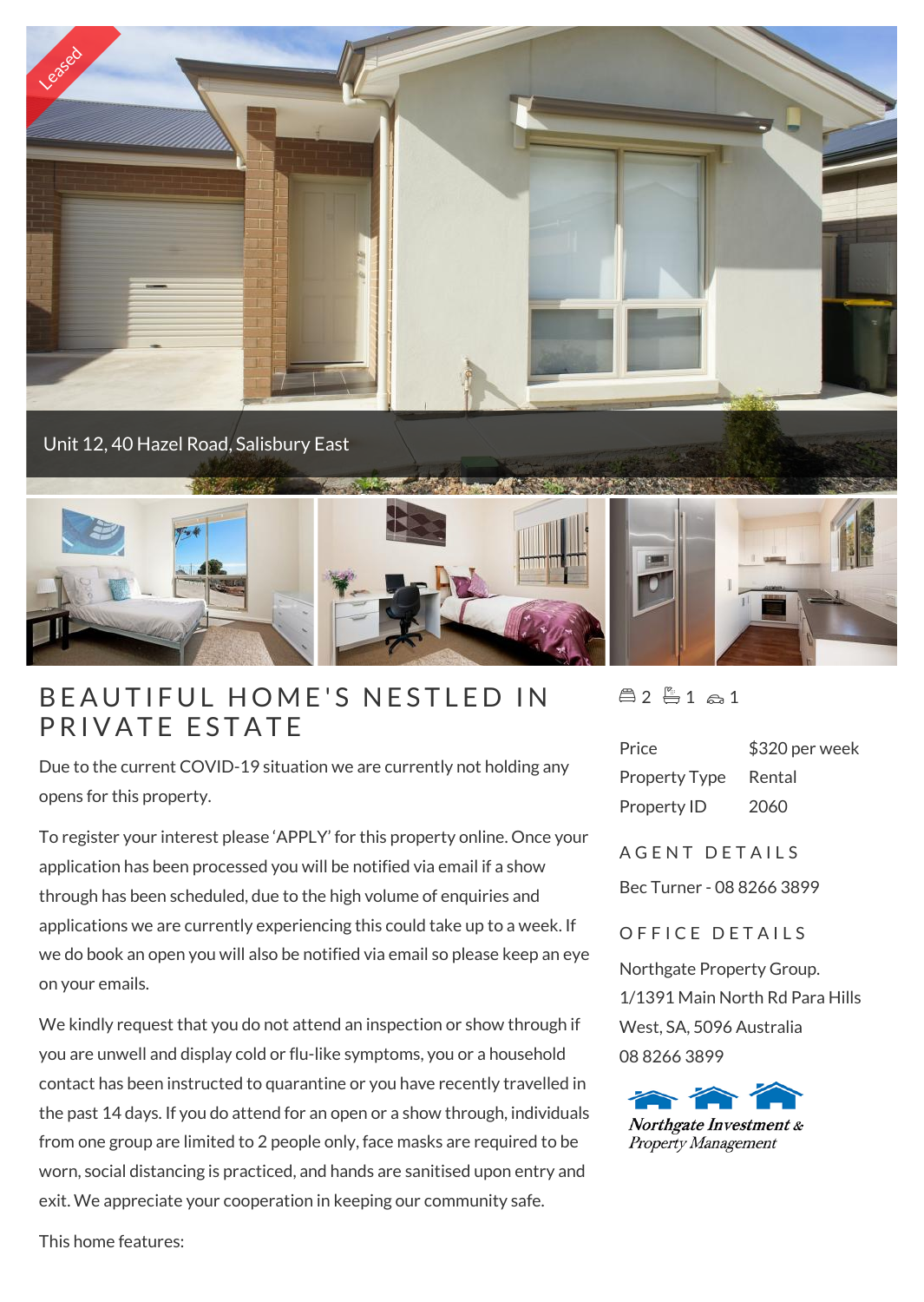

# B E AUTIFUL HOME'S<br>PRIVATE ESTATE

Due to the current COVID-19 situation we are currently not holding any opens for this property.

To register your interest please 'APPLY' for this property online. Once your application has been processed you will be notified via email if a show through has been scheduled, due to the high volume of enquiries and applications we are currently experiencing this could take up to a week. If we do book an open you will also be notified via email so please keep an eye on your emails.

We kindly request that you do not attend an inspection or show through if you are unwell and display cold or flu-like symptoms, you or a household contact has been instructed to quarantine or you have recently travelled in the past 14 days. If you do attend for an open or a show through, individuals from one group are limited to 2 people only, face masks are required to be worn, social distancing is practiced, and hands are sanitised upon entry and exit. We appreciate your cooperation in keeping our community safe.

 $4251a1$ 

| Price                | \$320 per week |
|----------------------|----------------|
| <b>Property Type</b> | Rental         |
| Property ID          | 2060           |

# A G F N T D F T A I I S

Bec Turner - 08 8266 3899

## OFFICE DETAILS

Northgate Property Group. 1/1391 Main North Rd Para Hills West, SA, 5096 Australia 08 8266 3899



This home features: